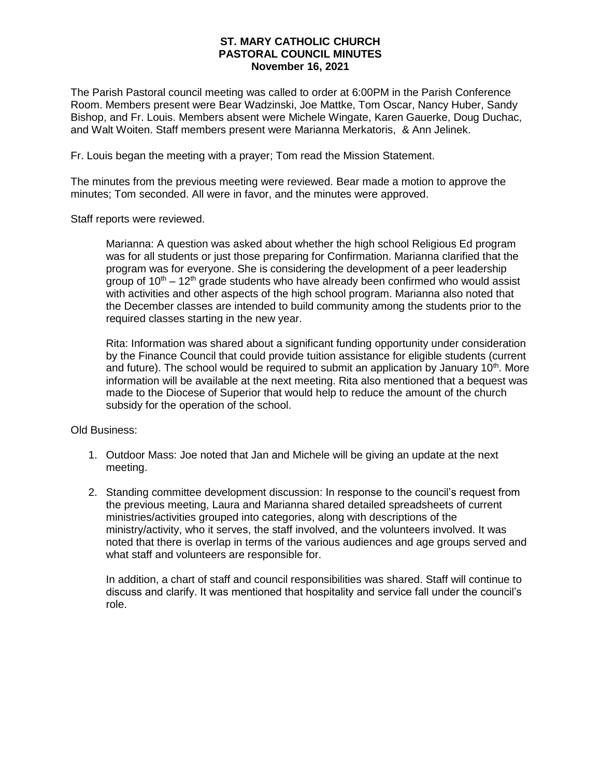## **ST. MARY CATHOLIC CHURCH PASTORAL COUNCIL MINUTES November 16, 2021**

The Parish Pastoral council meeting was called to order at 6:00PM in the Parish Conference Room. Members present were Bear Wadzinski, Joe Mattke, Tom Oscar, Nancy Huber, Sandy Bishop, and Fr. Louis. Members absent were Michele Wingate, Karen Gauerke, Doug Duchac, and Walt Woiten. Staff members present were Marianna Merkatoris, & Ann Jelinek.

Fr. Louis began the meeting with a prayer; Tom read the Mission Statement.

The minutes from the previous meeting were reviewed. Bear made a motion to approve the minutes; Tom seconded. All were in favor, and the minutes were approved.

Staff reports were reviewed.

Marianna: A question was asked about whether the high school Religious Ed program was for all students or just those preparing for Confirmation. Marianna clarified that the program was for everyone. She is considering the development of a peer leadership group of  $10<sup>th</sup> - 12<sup>th</sup>$  grade students who have already been confirmed who would assist with activities and other aspects of the high school program. Marianna also noted that the December classes are intended to build community among the students prior to the required classes starting in the new year.

Rita: Information was shared about a significant funding opportunity under consideration by the Finance Council that could provide tuition assistance for eligible students (current and future). The school would be required to submit an application by January  $10<sup>th</sup>$ . More information will be available at the next meeting. Rita also mentioned that a bequest was made to the Diocese of Superior that would help to reduce the amount of the church subsidy for the operation of the school.

Old Business:

- 1. Outdoor Mass: Joe noted that Jan and Michele will be giving an update at the next meeting.
- 2. Standing committee development discussion: In response to the council's request from the previous meeting, Laura and Marianna shared detailed spreadsheets of current ministries/activities grouped into categories, along with descriptions of the ministry/activity, who it serves, the staff involved, and the volunteers involved. It was noted that there is overlap in terms of the various audiences and age groups served and what staff and volunteers are responsible for.

In addition, a chart of staff and council responsibilities was shared. Staff will continue to discuss and clarify. It was mentioned that hospitality and service fall under the council's role.